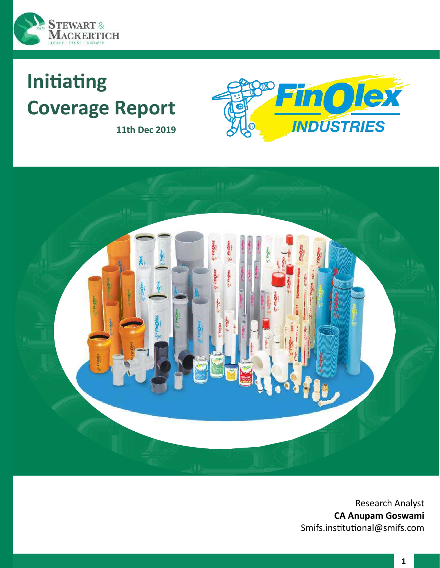

# **Initiating Coverage Report**



**11th Dec 2019**



Research Analyst **CA Anupam Goswami** Smifs.institutional@smifs.com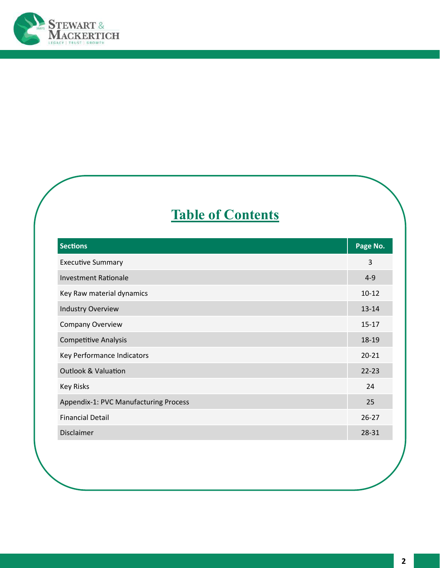

# **Table of Contents**

| <b>Sections</b>                       | Page No.  |
|---------------------------------------|-----------|
| <b>Executive Summary</b>              | 3         |
| <b>Investment Rationale</b>           | $4 - 9$   |
| Key Raw material dynamics             | $10 - 12$ |
| <b>Industry Overview</b>              | $13 - 14$ |
| <b>Company Overview</b>               | $15 - 17$ |
| <b>Competitive Analysis</b>           | 18-19     |
| Key Performance Indicators            | $20 - 21$ |
| <b>Outlook &amp; Valuation</b>        | $22 - 23$ |
| <b>Key Risks</b>                      | 24        |
| Appendix-1: PVC Manufacturing Process | 25        |
| <b>Financial Detail</b>               | $26 - 27$ |
| <b>Disclaimer</b>                     | 28-31     |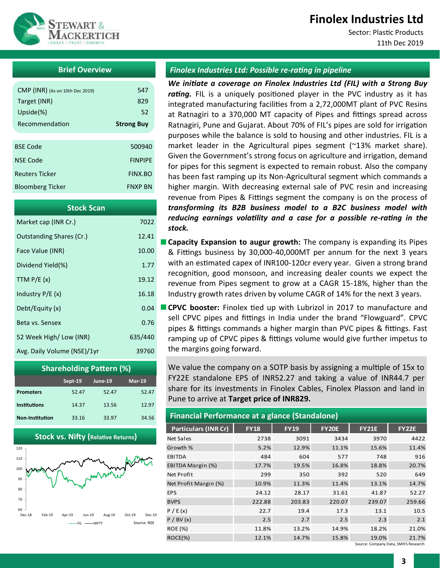# **Finolex Industries Ltd**

Sector: Plastic Products 11th Dec 2019



# **Brief Overview**

| CMP (INR) (As on 10th Dec 2019) | 547               |
|---------------------------------|-------------------|
| Target (INR)                    | 829               |
| Upside $(\%)$                   | 52                |
| Recommendation                  | <b>Strong Buy</b> |
|                                 |                   |
| <b>BSE Code</b>                 | 500940            |
| <b>NSE Code</b>                 | <b>FINPIPF</b>    |
| <b>Reuters Ticker</b>           | FINX BO           |
| <b>Bloomberg Ticker</b>         | <b>FNXP RN</b>    |
|                                 |                   |

| <b>Stock Scan</b>           |         |
|-----------------------------|---------|
| Market cap (INR Cr.)        | 7022    |
| Outstanding Shares (Cr.)    | 12.41   |
| Face Value (INR)            | 10.00   |
| Dividend Yield(%)           | 1.77    |
| TTM $P/E(x)$                | 19.12   |
| Industry $P/E(x)$           | 16.18   |
| Debt/Equity (x)             | 0.04    |
| Beta vs. Sensex             | 0.76    |
| 52 Week High/Low (INR)      | 635/440 |
| Avg. Daily Volume (NSE)/1yr | 39760   |



**Stock vs. Nifty (Relative Returns)**



### *Finolex Industries Ltd: Possible re-rating in pipeline*

*We initiate a coverage on Finolex Industries Ltd (FIL) with a Strong Buy*  rating. FIL is a uniquely positioned player in the PVC industry as it has integrated manufacturing facilities from a 2,72,000MT plant of PVC Resins at Ratnagiri to a 370,000 MT capacity of Pipes and fittings spread across Ratnagiri, Pune and Gujarat. About 70% of FIL's pipes are sold for irrigation purposes while the balance is sold to housing and other industries. FIL is a market leader in the Agricultural pipes segment (~13% market share). Given the Government's strong focus on agriculture and irrigation, demand for pipes for this segment is expected to remain robust. Also the company has been fast ramping up its Non-Agricultural segment which commands a higher margin. With decreasing external sale of PVC resin and increasing revenue from Pipes & Fittings segment the company is on the process of *transforming its B2B business model to a B2C business model with reducing earnings volatility and a case for a possible re-rating in the stock.*

**Capacity Expansion to augur growth:** The company is expanding its Pipes & Fittings business by 30,000-40,000MT per annum for the next 3 years with an estimated capex of INR100-120cr every year. Given a strong brand recognition, good monsoon, and increasing dealer counts we expect the revenue from Pipes segment to grow at a CAGR 15-18%, higher than the Industry growth rates driven by volume CAGR of 14% for the next 3 years.

**CPVC booster:** Finolex tied up with Lubrizol in 2017 to manufacture and sell CPVC pipes and fittings in India under the brand "Flowguard". CPVC pipes & fittings commands a higher margin than PVC pipes & fittings. Fast ramping up of CPVC pipes & fittings volume would give further impetus to the margins going forward.

We value the company on a SOTP basis by assigning a multiple of 15x to FY22E standalone EPS of INR52.27 and taking a value of INR44.7 per share for its investments in Finolex Cables, Finolex Plasson and land in Pune to arrive at **Target price of INR829.**

#### **Financial Performance at a glance (Standalone)**

|                             | $\tilde{\phantom{a}}$ |             |              |              |              |
|-----------------------------|-----------------------|-------------|--------------|--------------|--------------|
| <b>Particulars (INR Cr)</b> | <b>FY18</b>           | <b>FY19</b> | <b>FY20E</b> | <b>FY21E</b> | <b>FY22E</b> |
| Net Sales                   | 2738                  | 3091        | 3434         | 3970         | 4422         |
| Growth %                    | 5.2%                  | 12.9%       | 11.1%        | 15.6%        | 11.4%        |
| <b>EBITDA</b>               | 484                   | 604         | 577          | 748          | 916          |
| EBITDA Margin (%)           | 17.7%                 | 19.5%       | 16.8%        | 18.8%        | 20.7%        |
| Net Profit                  | 299                   | 350         | 392          | 520          | 649          |
| Net Profit Margin (%)       | 10.9%                 | 11.3%       | 11.4%        | 13.1%        | 14.7%        |
| <b>EPS</b>                  | 24.12                 | 28.17       | 31.61        | 41.87        | 52.27        |
| <b>BVPS</b>                 | 222.88                | 203.83      | 220.07       | 239.07       | 259.66       |
| P / E(x)                    | 22.7                  | 19.4        | 17.3         | 13.1         | 10.5         |
| P / BV (x)                  | 2.5                   | 2.7         | 2.5          | 2.3          | 2.1          |
| <b>ROE (%)</b>              | 11.8%                 | 13.2%       | 14.9%        | 18.2%        | 21.0%        |
| $ROCE(\% )$                 | 12.1%                 | 14.7%       | 15.8%        | 19.0%        | 21.7%        |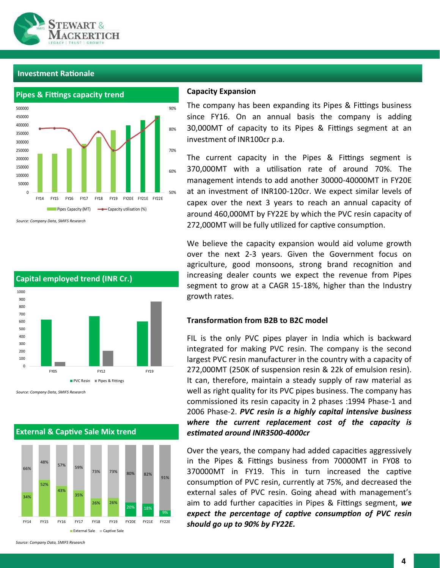



*Source: Company Data, SMIFS Research*

#### **Capital employed trend (INR Cr.)**  $\Omega$ 100 200 300 400 500 600 700 800 900 1000 FY05 FY12 FY19 PVC Resin **Pipes & Fittings**

*Source: Company Data, SMIFS Research*



#### **External & Captive Sale Mix trend**

#### **Capacity Expansion**

The company has been expanding its Pipes & Fittings business since FY16. On an annual basis the company is adding 30,000MT of capacity to its Pipes & Fittings segment at an investment of INR100cr p.a.

The current capacity in the Pipes & Fittings segment is 370,000MT with a utilisation rate of around 70%. The management intends to add another 30000-40000MT in FY20E at an investment of INR100-120cr. We expect similar levels of capex over the next 3 years to reach an annual capacity of around 460,000MT by FY22E by which the PVC resin capacity of 272,000MT will be fully utilized for captive consumption.

We believe the capacity expansion would aid volume growth over the next 2-3 years. Given the Government focus on agriculture, good monsoons, strong brand recognition and increasing dealer counts we expect the revenue from Pipes segment to grow at a CAGR 15-18%, higher than the Industry growth rates.

## **Transformation from B2B to B2C model**

FIL is the only PVC pipes player in India which is backward integrated for making PVC resin. The company is the second largest PVC resin manufacturer in the country with a capacity of 272,000MT (250K of suspension resin & 22k of emulsion resin). It can, therefore, maintain a steady supply of raw material as well as right quality for its PVC pipes business. The company has commissioned its resin capacity in 2 phases :1994 Phase-1 and 2006 Phase-2. *PVC resin is a highly capital intensive business where the current replacement cost of the capacity is estimated around INR3500-4000cr*

Over the years, the company had added capacities aggressively in the Pipes & Fittings business from 70000MT in FY08 to 370000MT in FY19. This in turn increased the captive consumption of PVC resin, currently at 75%, and decreased the external sales of PVC resin. Going ahead with management's aim to add further capacities in Pipes & Fittings segment, *we expect the percentage of captive consumption of PVC resin should go up to 90% by FY22E.*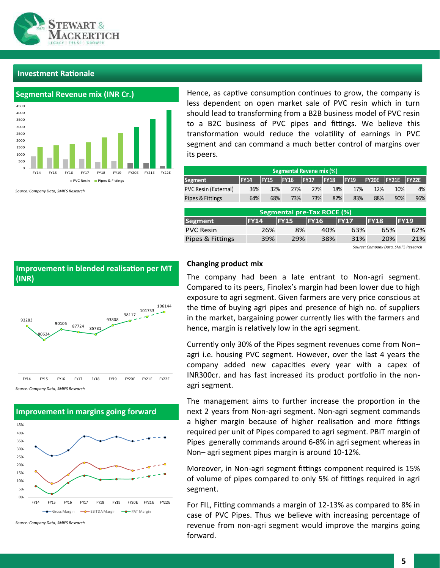



*Source: Company Data, SMIFS Research*

Hence, as captive consumption continues to grow, the company is less dependent on open market sale of PVC resin which in turn should lead to transforming from a B2B business model of PVC resin to a B2C business of PVC pipes and fittings. We believe this transformation would reduce the volatility of earnings in PVC segment and can command a much better control of margins over its peers.

| Segmental Revene mix (%) |             |             |                                   |             |             |             |              |              |             |
|--------------------------|-------------|-------------|-----------------------------------|-------------|-------------|-------------|--------------|--------------|-------------|
| <b>Segment</b>           | <b>FY14</b> | <b>FY15</b> | <b>FY16</b>                       | <b>FY17</b> | <b>FY18</b> | <b>FY19</b> | <b>FY20E</b> | <b>FY21E</b> | FY22E       |
| PVC Resin (External)     | 36%         | 32%         | 27%                               | 27%         |             | 18%<br>17%  | 12%          | 10%          | 4%          |
| Pipes & Fittings         | 64%         | 68%         | 73%                               | 73%         |             | 82%<br>83%  | 88%          | 90%          | 96%         |
|                          |             |             |                                   |             |             |             |              |              |             |
|                          |             |             | <b>Segmental pre-Tax ROCE (%)</b> |             |             |             |              |              |             |
| Segment                  | <b>FY14</b> |             | <b>FY15</b>                       | <b>FY16</b> |             | <b>FY17</b> | <b>FY18</b>  |              | <b>FY19</b> |
| <b>PVC Resin</b>         |             | 26%         | 8%                                |             | 40%         | 63%         |              | 65%          | 62%         |
| Pipes & Fittings         |             | 39%         | 29%                               |             | 38%         | 31%         |              | 20%          | 21%         |

*Source: Company Data, SMIFS Research*



#### *Source: Company Data, SMIFS Research*



*Source: Company Data, SMIFS Research*

#### **Changing product mix**

The company had been a late entrant to Non-agri segment. Compared to its peers, Finolex's margin had been lower due to high exposure to agri segment. Given farmers are very price conscious at the time of buying agri pipes and presence of high no. of suppliers in the market, bargaining power currently lies with the farmers and hence, margin is relatively low in the agri segment.

Currently only 30% of the Pipes segment revenues come from Non– agri i.e. housing PVC segment. However, over the last 4 years the company added new capacities every year with a capex of INR300cr. and has fast increased its product portfolio in the nonagri segment.

The management aims to further increase the proportion in the next 2 years from Non-agri segment. Non-agri segment commands a higher margin because of higher realisation and more fittings required per unit of Pipes compared to agri segment. PBIT margin of Pipes generally commands around 6-8% in agri segment whereas in Non– agri segment pipes margin is around 10-12%.

Moreover, in Non-agri segment fittings component required is 15% of volume of pipes compared to only 5% of fittings required in agri segment.

For FIL, Fitting commands a margin of 12-13% as compared to 8% in case of PVC Pipes. Thus we believe with increasing percentage of revenue from non-agri segment would improve the margins going forward.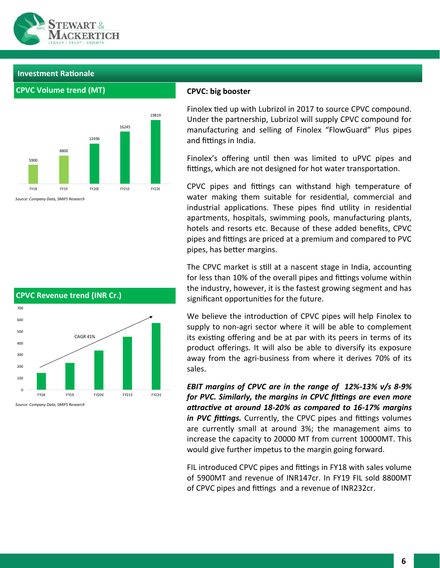

**CPVC Volume trend (MT)**



#### **CPVC: big booster**

Finolex tied up with Lubrizol in 2017 to source CPVC compound. Under the partnership, Lubrizol will supply CPVC compound for manufacturing and selling of Finolex "FlowGuard" Plus pipes and fittings in India.

Finolex's offering until then was limited to uPVC pipes and fittings, which are not designed for hot water transportation.

CPVC pipes and fittings can withstand high temperature of water making them suitable for residential, commercial and industrial applications. These pipes find utility in residential apartments, hospitals, swimming pools, manufacturing plants, hotels and resorts etc. Because of these added benefits, CPVC pipes and fittings are priced at a premium and compared to PVC pipes, has better margins.

The CPVC market is still at a nascent stage in India, accounting for less than 10% of the overall pipes and fittings volume within the industry, however, it is the fastest growing segment and has significant opportunities for the future.

We believe the introduction of CPVC pipes will help Finolex to supply to non-agri sector where it will be able to complement its existing offering and be at par with its peers in terms of its product offerings. It will also be able to diversify its exposure away from the agri-business from where it derives 70% of its sales.

*EBIT margins of CPVC are in the range of 12%-13% v/s 8-9% for PVC. Similarly, the margins in CPVC fittings are even more attractive at around 18-20% as compared to 16-17% margins in PVC fittings.* Currently, the CPVC pipes and fittings volumes are currently small at around 3%; the management aims to increase the capacity to 20000 MT from current 10000MT. This would give further impetus to the margin going forward.

FIL introduced CPVC pipes and fittings in FY18 with sales volume of 5900MT and revenue of INR147cr. In FY19 FIL sold 8800MT of CPVC pipes and fittings and a revenue of INR232cr.

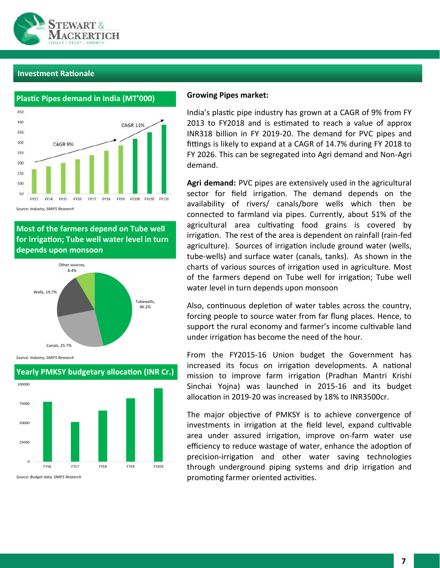



*Source: Industry, SMIFS Research*

**Most of the farmers depend on Tube well for irrigation; Tube well water level in turn depends upon monsoon**



*Source: Industry, SMIFS Research*



# **Yearly PMKSY budgetary allocation (INR Cr.)**

#### *Source: Budget data, SMIFS Research*

#### **Growing Pipes market:**

India's plastic pipe industry has grown at a CAGR of 9% from FY 2013 to FY2018 and is estimated to reach a value of approx INR318 billion in FY 2019-20. The demand for PVC pipes and fittings is likely to expand at a CAGR of 14.7% during FY 2018 to FY 2026. This can be segregated into Agri demand and Non-Agri demand.

**Agri demand:** PVC pipes are extensively used in the agricultural sector for field irrigation. The demand depends on the availability of rivers/ canals/bore wells which then be connected to farmland via pipes. Currently, about 51% of the agricultural area cultivating food grains is covered by irrigation. The rest of the area is dependent on rainfall (rain-fed agriculture). Sources of irrigation include ground water (wells, tube-wells) and surface water (canals, tanks). As shown in the charts of various sources of irrigation used in agriculture. Most of the farmers depend on Tube well for irrigation; Tube well water level in turn depends upon monsoon

Also, continuous depletion of water tables across the country, forcing people to source water from far flung places. Hence, to support the rural economy and farmer's income cultivable land under irrigation has become the need of the hour.

From the FY2015-16 Union budget the Government has increased its focus on irrigation developments. A national mission to improve farm irrigation (Pradhan Mantri Krishi Sinchai Yojna) was launched in 2015-16 and its budget allocation in 2019-20 was increased by 18% to INR3500cr.

The major objective of PMKSY is to achieve convergence of investments in irrigation at the field level, expand cultivable area under assured irrigation, improve on-farm water use efficiency to reduce wastage of water, enhance the adoption of precision-irrigation and other water saving technologies through underground piping systems and drip irrigation and promoting farmer oriented activities.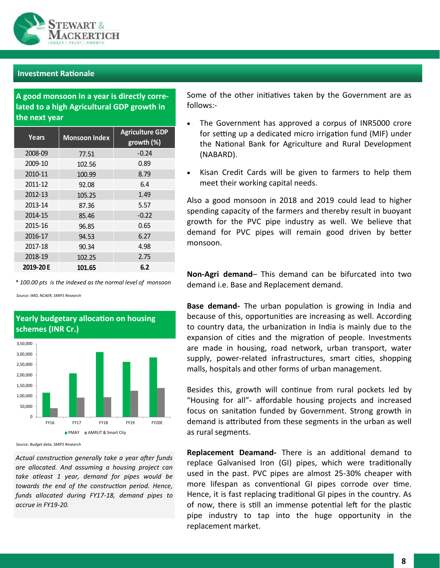

**A good monsoon in a year is directly correlated to a high Agricultural GDP growth in the next year**

| Years     | <b>Monsoon Index</b> | <b>Agriculture GDP</b><br>growth (%) |
|-----------|----------------------|--------------------------------------|
| 2008-09   | 77.51                | $-0.24$                              |
| 2009-10   | 102.56               | 0.89                                 |
| 2010-11   | 100.99               | 8.79                                 |
| 2011-12   | 92.08                | 6.4                                  |
| 2012-13   | 105.25               | 1.49                                 |
| 2013-14   | 87.36                | 5.57                                 |
| 2014-15   | 85.46                | $-0.22$                              |
| 2015-16   | 96.85                | 0.65                                 |
| 2016-17   | 94.53                | 6.27                                 |
| 2017-18   | 90.34                | 4.98                                 |
| 2018-19   | 102.25               | 2.75                                 |
| 2019-20 E | 101.65               | 6.2                                  |

*\* 100.00 pts is the indexed as the normal level of monsoon*

**Yearly budgetary allocation on housing** 

*Source: IMD, NCAER, SMIFS Research*



*Source: Budget data, SMIFS Research*

*Actual construction generally take a year after funds are allocated. And assuming a housing project can take atleast 1 year, demand for pipes would be towards the end of the construction period. Hence, funds allocated during FY17-18, demand pipes to accrue in FY19-20.*

Some of the other initiatives taken by the Government are as follows:-

- The Government has approved a corpus of INR5000 crore for setting up a dedicated micro irrigation fund (MIF) under the National Bank for Agriculture and Rural Development (NABARD).
- Kisan Credit Cards will be given to farmers to help them meet their working capital needs.

Also a good monsoon in 2018 and 2019 could lead to higher spending capacity of the farmers and thereby result in buoyant growth for the PVC pipe industry as well. We believe that demand for PVC pipes will remain good driven by better monsoon.

**Non-Agri demand**– This demand can be bifurcated into two demand i.e. Base and Replacement demand.

**Base demand-** The urban population is growing in India and because of this, opportunities are increasing as well. According to country data, the urbanization in India is mainly due to the expansion of cities and the migration of people. Investments are made in housing, road network, urban transport, water supply, power-related infrastructures, smart cities, shopping malls, hospitals and other forms of urban management.

Besides this, growth will continue from rural pockets led by "Housing for all"- affordable housing projects and increased focus on sanitation funded by Government. Strong growth in demand is attributed from these segments in the urban as well as rural segments.

**Replacement Deamand-** There is an additional demand to replace Galvanised Iron (GI) pipes, which were traditionally used in the past. PVC pipes are almost 25-30% cheaper with more lifespan as conventional GI pipes corrode over time. Hence, it is fast replacing traditional GI pipes in the country. As of now, there is still an immense potential left for the plastic pipe industry to tap into the huge opportunity in the replacement market.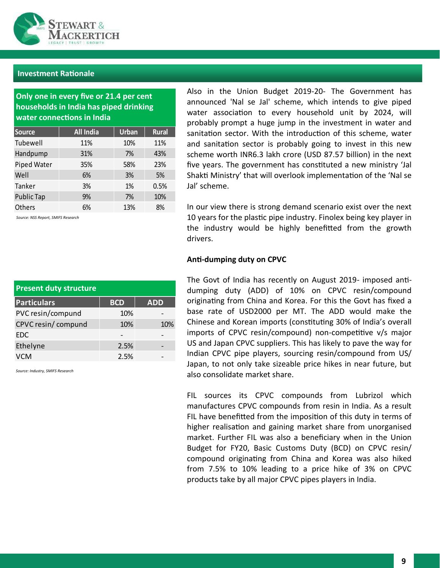

**Only one in every five or 21.4 per cent households in India has piped drinking water connections in India**

| Source      | <b>All India</b> | <b>Urban</b> | <b>Rural</b> |
|-------------|------------------|--------------|--------------|
| Tubewell    | 11%              | 10%          | 11%          |
| Handpump    | 31%              | 7%           | 43%          |
| Piped Water | 35%              | 58%          | 23%          |
| Well        | 6%               | 3%           | 5%           |
| Tanker      | 3%               | 1%           | 0.5%         |
| Public Tap  | 9%               | 7%           | 10%          |
| Others      | 6%               | 13%          | 8%           |

*Source: NSS Report, SMIFS Research*

Also in the Union Budget 2019-20- The Government has announced 'Nal se Jal' scheme, which intends to give piped water association to every household unit by 2024, will probably prompt a huge jump in the investment in water and sanitation sector. With the introduction of this scheme, water and sanitation sector is probably going to invest in this new scheme worth INR6.3 lakh crore (USD 87.57 billion) in the next five years. The government has constituted a new ministry 'Jal Shakti Ministry' that will overlook implementation of the 'Nal se Jal' scheme.

In our view there is strong demand scenario exist over the next 10 years for the plastic pipe industry. Finolex being key player in the industry would be highly benefitted from the growth drivers.

# **Anti-dumping duty on CPVC**

The Govt of India has recently on August 2019- imposed antidumping duty (ADD) of 10% on CPVC resin/compound originating from China and Korea. For this the Govt has fixed a base rate of USD2000 per MT. The ADD would make the Chinese and Korean imports (constituting 30% of India's overall imports of CPVC resin/compound) non-competitive v/s major US and Japan CPVC suppliers. This has likely to pave the way for Indian CPVC pipe players, sourcing resin/compound from US/ Japan, to not only take sizeable price hikes in near future, but also consolidate market share.

FIL sources its CPVC compounds from Lubrizol which manufactures CPVC compounds from resin in India. As a result FIL have benefitted from the imposition of this duty in terms of higher realisation and gaining market share from unorganised market. Further FIL was also a beneficiary when in the Union Budget for FY20, Basic Customs Duty (BCD) on CPVC resin/ compound originating from China and Korea was also hiked from 7.5% to 10% leading to a price hike of 3% on CPVC products take by all major CPVC pipes players in India.

| <b>Present duty structure</b> |            |            |  |  |
|-------------------------------|------------|------------|--|--|
| <b>Particulars</b>            | <b>BCD</b> | <b>ADD</b> |  |  |
| PVC resin/compund             | 10%        |            |  |  |
| CPVC resin/compund            | 10%        | 10%        |  |  |
| <b>EDC</b>                    |            |            |  |  |
| Ethelyne                      | 2.5%       |            |  |  |
| VCM                           | 2.5%       |            |  |  |

*Source: Industry, SMIFS Research*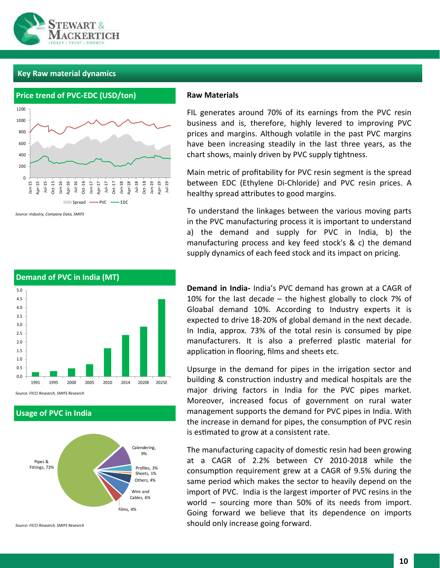

# **Key Raw material dynamics**



*Source: Industry, Company Data, SMIFS* 

#### **Raw Materials**

FIL generates around 70% of its earnings from the PVC resin business and is, therefore, highly levered to improving PVC prices and margins. Although volatile in the past PVC margins have been increasing steadily in the last three years, as the chart shows, mainly driven by PVC supply tightness.

Main metric of profitability for PVC resin segment is the spread between EDC (Ethylene Di-Chloride) and PVC resin prices. A healthy spread attributes to good margins.

To understand the linkages between the various moving parts in the PVC manufacturing process it is important to understand a) the demand and supply for PVC in India, b) the manufacturing process and key feed stock's & c) the demand supply dynamics of each feed stock and its impact on pricing.



*Source: FICCI Research, SMIFS Research*

**Usage of PVC in India**



*Source: FICCI Research, SMIFS Research*

**Demand in India-** India's PVC demand has grown at a CAGR of 10% for the last decade – the highest globally to clock 7% of Gloabal demand 10%. According to Industry experts it is expected to drive 18-20% of global demand in the next decade. In India, approx. 73% of the total resin is consumed by pipe manufacturers. It is also a preferred plastic material for application in flooring, films and sheets etc.

Upsurge in the demand for pipes in the irrigation sector and building & construction industry and medical hospitals are the major driving factors in India for the PVC pipes market. Moreover, increased focus of government on rural water management supports the demand for PVC pipes in India. With the increase in demand for pipes, the consumption of PVC resin is estimated to grow at a consistent rate.

The manufacturing capacity of domestic resin had been growing at a CAGR of 2.2% between CY 2010-2018 while the consumption requirement grew at a CAGR of 9.5% during the same period which makes the sector to heavily depend on the import of PVC. India is the largest importer of PVC resins in the world – sourcing more than 50% of its needs from import. Going forward we believe that its dependence on imports should only increase going forward.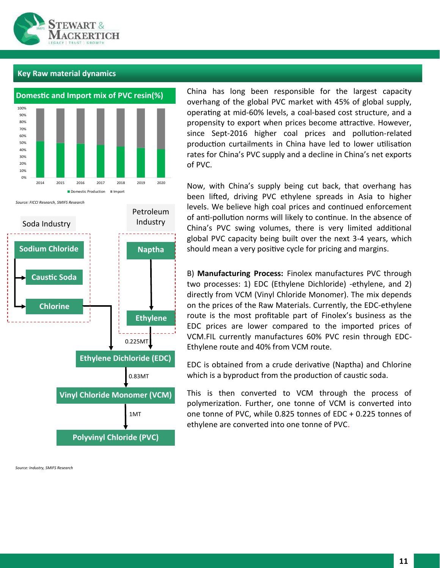

# **Key Raw material dynamics**



*Source: FICCI Research, SMIFS Research*



*Source: Industry, SMIFS Research*

China has long been responsible for the largest capacity overhang of the global PVC market with 45% of global supply, operating at mid-60% levels, a coal-based cost structure, and a propensity to export when prices become attractive. However, since Sept-2016 higher coal prices and pollution-related production curtailments in China have led to lower utilisation rates for China's PVC supply and a decline in China's net exports of PVC.

Now, with China's supply being cut back, that overhang has been lifted, driving PVC ethylene spreads in Asia to higher levels. We believe high coal prices and continued enforcement of anti-pollution norms will likely to continue. In the absence of China's PVC swing volumes, there is very limited additional global PVC capacity being built over the next 3-4 years, which should mean a very positive cycle for pricing and margins.

B) **Manufacturing Process:** Finolex manufactures PVC through two processes: 1) EDC (Ethylene Dichloride) -ethylene, and 2) directly from VCM (Vinyl Chloride Monomer). The mix depends on the prices of the Raw Materials. Currently, the EDC-ethylene route is the most profitable part of Finolex's business as the EDC prices are lower compared to the imported prices of VCM.FIL currently manufactures 60% PVC resin through EDC-Ethylene route and 40% from VCM route.

EDC is obtained from a crude derivative (Naptha) and Chlorine which is a byproduct from the production of caustic soda.

This is then converted to VCM through the process of polymerization. Further, one tonne of VCM is converted into one tonne of PVC, while 0.825 tonnes of EDC + 0.225 tonnes of ethylene are converted into one tonne of PVC.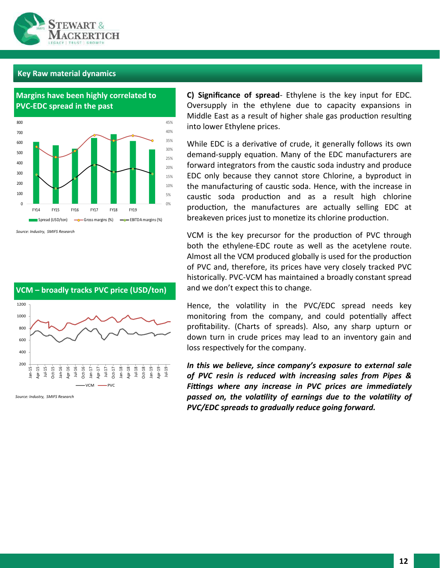

# **Key Raw material dynamics**





*Source: Industry, SMIFS Research*



*Source: Industry, SMIFS Research*

**C) Significance of spread**- Ethylene is the key input for EDC. Oversupply in the ethylene due to capacity expansions in Middle East as a result of higher shale gas production resulting into lower Ethylene prices.

While EDC is a derivative of crude, it generally follows its own demand-supply equation. Many of the EDC manufacturers are forward integrators from the caustic soda industry and produce EDC only because they cannot store Chlorine, a byproduct in the manufacturing of caustic soda. Hence, with the increase in caustic soda production and as a result high chlorine production, the manufactures are actually selling EDC at breakeven prices just to monetize its chlorine production.

VCM is the key precursor for the production of PVC through both the ethylene-EDC route as well as the acetylene route. Almost all the VCM produced globally is used for the production of PVC and, therefore, its prices have very closely tracked PVC historically. PVC-VCM has maintained a broadly constant spread and we don't expect this to change.

Hence, the volatility in the PVC/EDC spread needs key monitoring from the company, and could potentially affect profitability. (Charts of spreads). Also, any sharp upturn or down turn in crude prices may lead to an inventory gain and loss respectively for the company.

*In this we believe, since company's exposure to external sale of PVC resin is reduced with increasing sales from Pipes & Fittings where any increase in PVC prices are immediately passed on, the volatility of earnings due to the volatility of PVC/EDC spreads to gradually reduce going forward.*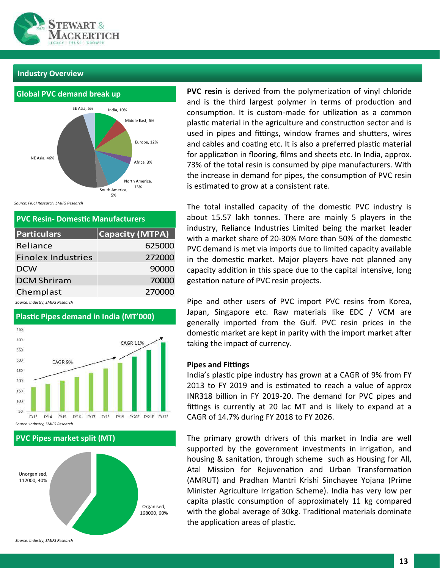

#### **Industry Overview**

# **Global PVC demand break up**



*Source: FICCI Research, SMIFS Research*

| <b>PVC Resin- Domestic Manufacturers</b> |                        |  |  |
|------------------------------------------|------------------------|--|--|
| <b>Particulars</b>                       | <b>Capacity (MTPA)</b> |  |  |
| Reliance                                 | 625000                 |  |  |
| <b>Finolex Industries</b>                | 272000                 |  |  |
| <b>DCW</b>                               | 90000                  |  |  |
| <b>DCM Shriram</b>                       | 70000                  |  |  |
| Chemplast                                | 270000                 |  |  |

*Source: Industry, SMIFS Research*



**PVC Pipes market split (MT)**



**PVC resin** is derived from the polymerization of vinyl chloride and is the third largest polymer in terms of production and consumption. It is custom-made for utilization as a common plastic material in the agriculture and construction sector and is used in pipes and fittings, window frames and shutters, wires and cables and coating etc. It is also a preferred plastic material for application in flooring, films and sheets etc. In India, approx. 73% of the total resin is consumed by pipe manufacturers. With the increase in demand for pipes, the consumption of PVC resin is estimated to grow at a consistent rate.

The total installed capacity of the domestic PVC industry is about 15.57 lakh tonnes. There are mainly 5 players in the industry, Reliance Industries Limited being the market leader with a market share of 20-30% More than 50% of the domestic PVC demand is met via imports due to limited capacity available in the domestic market. Major players have not planned any capacity addition in this space due to the capital intensive, long gestation nature of PVC resin projects.

Pipe and other users of PVC import PVC resins from Korea, Japan, Singapore etc. Raw materials like EDC / VCM are generally imported from the Gulf. PVC resin prices in the domestic market are kept in parity with the import market after taking the impact of currency.

#### **Pipes and Fittings**

India's plastic pipe industry has grown at a CAGR of 9% from FY 2013 to FY 2019 and is estimated to reach a value of approx INR318 billion in FY 2019-20. The demand for PVC pipes and fittings is currently at 20 lac MT and is likely to expand at a CAGR of 14.7% during FY 2018 to FY 2026.

The primary growth drivers of this market in India are well supported by the government investments in irrigation, and housing & sanitation, through scheme such as Housing for All, Atal Mission for Rejuvenation and Urban Transformation (AMRUT) and Pradhan Mantri Krishi Sinchayee Yojana (Prime Minister Agriculture Irrigation Scheme). India has very low per capita plastic consumption of approximately 11 kg compared with the global average of 30kg. Traditional materials dominate The total interaction in floating the agriculture area of plastic. The plactic material in the area of plastic. It is total plactic. It is total plactic. It is to application in floating films (limit on the increase in dem

*Source: Industry, SMIFS Research*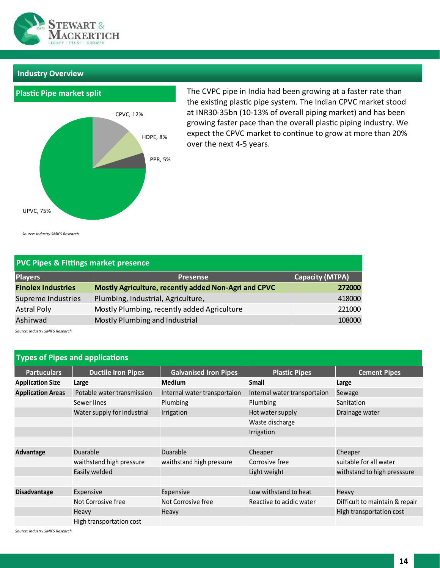

# **Industry Overview**



The CVPC pipe in India had been growing at a faster rate than the existing plastic pipe system. The Indian CPVC market stood at INR30-35bn (10-13% of overall piping market) and has been growing faster pace than the overall plastic piping industry. We expect the CPVC market to continue to grow at more than 20% over the next 4-5 years.

*Source: Industry SMIFS Research*

| <b>PVC Pipes &amp; Fittings market presence</b> |                                                      |                 |  |  |
|-------------------------------------------------|------------------------------------------------------|-----------------|--|--|
| <b>Players</b>                                  | <b>Presense</b>                                      | Capacity (MTPA) |  |  |
| <b>Finolex Industries</b>                       | Mostly Agriculture, recently added Non-Agri and CPVC | 272000          |  |  |
| Supreme Industries                              | Plumbing, Industrial, Agriculture,                   | 418000          |  |  |
| <b>Astral Poly</b>                              | Mostly Plumbing, recently added Agriculture          | 221000          |  |  |
| Ashirwad                                        | Mostly Plumbing and Industrial                       | 108000          |  |  |

*Source: Industry SMIFS Research*

|                          | <b>Types of Pipes and applications</b> |                              |                              |                                |
|--------------------------|----------------------------------------|------------------------------|------------------------------|--------------------------------|
| <b>Partuculars</b>       | <b>Ductile Iron Pipes</b>              | <b>Galvanised Iron Pipes</b> | <b>Plastic Pipes</b>         | <b>Cement Pipes</b>            |
| <b>Application Size</b>  | Large                                  | <b>Medium</b>                | Small                        | Large                          |
| <b>Application Areas</b> | Potable water transmission             | Internal water transportaion | Internal water transportaion | Sewage                         |
|                          | Sewer lines                            | Plumbing                     | Plumbing                     | Sanitation                     |
|                          | Water supply for Industrial            | Irrigation                   | Hot water supply             | Drainage water                 |
|                          |                                        |                              | Waste discharge              |                                |
|                          |                                        |                              | Irrigation                   |                                |
|                          |                                        |                              |                              |                                |
| Advantage                | Duarable                               | Duarable                     | Cheaper                      | Cheaper                        |
|                          | waithstand high pressure               | waithstand high pressure     | Corrosive free               | suitable for all water         |
|                          | Easily welded                          |                              | Light weight                 | withstand to high presssure    |
|                          |                                        |                              |                              |                                |
| <b>Disadvantage</b>      | Expensive                              | Expensive                    | Low withstand to heat        | Heavy                          |
|                          | Not Corrosive free                     | Not Corrosive free           | Reactive to acidic water     | Difficult to maintain & repair |
|                          | Heavy                                  | Heavy                        |                              | High transportation cost       |
|                          | High transportation cost               |                              |                              |                                |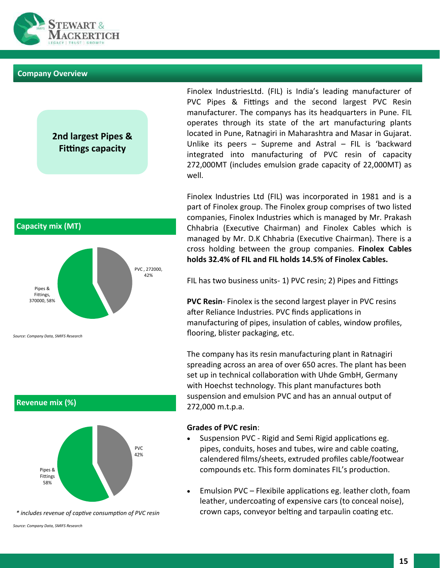

#### **Company Overview**

**Capacity mix (MT)**

**2nd largest Pipes & Fittings capacity**



Finolex Industries Ltd (FIL) was incorporated in 1981 and is a part of Finolex group. The Finolex group comprises of two listed companies, Finolex Industries which is managed by Mr. Prakash Chhabria (Executive Chairman) and Finolex Cables which is managed by Mr. D.K Chhabria (Executive Chairman). There is a cross holding between the group companies. **Finolex Cables holds 32.4% of FIL and FIL holds 14.5% of Finolex Cables.** 

FIL has two business units- 1) PVC resin; 2) Pipes and Fittings

**PVC Resin**- Finolex is the second largest player in PVC resins after Reliance Industries. PVC finds applications in manufacturing of pipes, insulation of cables, window profiles, flooring, blister packaging, etc.

The company has its resin manufacturing plant in Ratnagiri spreading across an area of over 650 acres. The plant has been set up in technical collaboration with Uhde GmbH, Germany with Hoechst technology. This plant manufactures both suspension and emulsion PVC and has an annual output of 272,000 m.t.p.a.

#### **Grades of PVC resin**:

- Suspension PVC Rigid and Semi Rigid applications eg. pipes, conduits, hoses and tubes, wire and cable coating, calendered films/sheets, extruded profiles cable/footwear compounds etc. This form dominates FIL's production.
- Emulsion PVC Flexibile applications eg. leather cloth, foam leather, undercoating of expensive cars (to conceal noise), crown caps, conveyor belting and tarpaulin coating etc.



*\* includes revenue of captive consumption of PVC resin*

*Source: Company Data, SMIFS Research*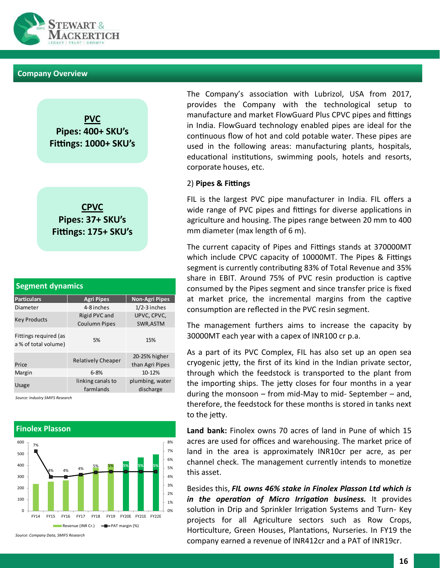

#### **Company Overview**





| <b>Segment dynamics</b>                       |                                       |                                  |  |  |
|-----------------------------------------------|---------------------------------------|----------------------------------|--|--|
| <b>Particulars</b>                            | <b>Agri Pipes</b>                     | <b>Non-Agri Pipes</b>            |  |  |
| Diameter                                      | 4-8 inches                            | $1/2 - 3$ inches                 |  |  |
| <b>Key Products</b>                           | Rigid PVC and<br><b>Coulumn Pipes</b> | UPVC, CPVC,<br>SWR, ASTM         |  |  |
| Fittings required (as<br>a % of total volume) | 5%                                    | 15%                              |  |  |
| Price                                         | <b>Relatively Cheaper</b>             | 20-25% higher<br>than Agri Pipes |  |  |
| Margin                                        | $6 - 8%$                              | 10-12%                           |  |  |
| <b>Usage</b>                                  | linking canals to<br>farmlands        | plumbing, water<br>discharge     |  |  |

*Source: Industry SMIFS Research*



*Source: Company Data, SMIFS Research*

The Company's association with Lubrizol, USA from 2017, provides the Company with the technological setup to manufacture and market FlowGuard Plus CPVC pipes and fittings in India. FlowGuard technology enabled pipes are ideal for the continuous flow of hot and cold potable water. These pipes are used in the following areas: manufacturing plants, hospitals, educational institutions, swimming pools, hotels and resorts, corporate houses, etc.

#### 2) **Pipes & Fittings**

FIL is the largest PVC pipe manufacturer in India. FIL offers a wide range of PVC pipes and fittings for diverse applications in agriculture and housing. The pipes range between 20 mm to 400 mm diameter (max length of 6 m).

The current capacity of Pipes and Fittings stands at 370000MT which include CPVC capacity of 10000MT. The Pipes & Fittings segment is currently contributing 83% of Total Revenue and 35% share in EBIT. Around 75% of PVC resin production is captive consumed by the Pipes segment and since transfer price is fixed at market price, the incremental margins from the captive consumption are reflected in the PVC resin segment.

The management furthers aims to increase the capacity by 30000MT each year with a capex of INR100 cr p.a.

As a part of its PVC Complex, FIL has also set up an open sea cryogenic jetty, the first of its kind in the Indian private sector, through which the feedstock is transported to the plant from the importing ships. The jetty closes for four months in a year during the monsoon – from mid-May to mid- September – and, therefore, the feedstock for these months is stored in tanks next to the jetty.

**Land bank:** Finolex owns 70 acres of land in Pune of which 15 acres are used for offices and warehousing. The market price of land in the area is approximately INR10cr per acre, as per channel check. The management currently intends to monetize this asset.

Besides this, *FIL owns 46% stake in Finolex Plasson Ltd which is in the operation of Micro Irrigation business.* It provides solution in Drip and Sprinkler Irrigation Systems and Turn- Key projects for all Agriculture sectors such as Row Crops, Horticulture, Green Houses, Plantations, Nurseries. In FY19 the company earned a revenue of INR412cr and a PAT of INR19cr.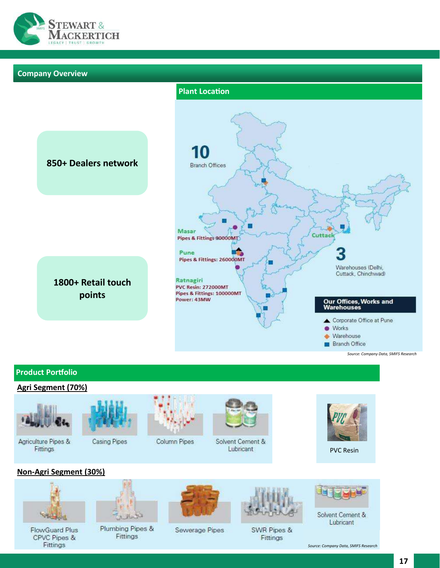

#### **Company Overview**



# **Product Portfolio**

#### **Agri Segment (70%)**



Agriculture Pipes & Fittings



Casing Pipes



Column Pipes



Solvent Cement & Lubricant



PVC Resin

# **Non-Agri Segment (30%)**



**FlowGuard Plus** CPVC Pipes & Fittings



Plumbing Pipes & Fittings



Sewerage Pipes



SWR Pipes & Fittings



Solvent Cement & Lubricant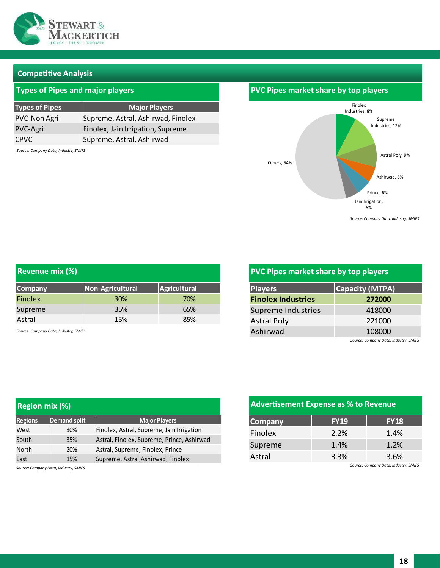

#### **Competitive Analysis**

# **Types of Pipes and major players**

| <b>Types of Pipes</b> | <b>Major Players</b>               |
|-----------------------|------------------------------------|
| PVC-Non Agri          | Supreme, Astral, Ashirwad, Finolex |
| PVC-Agri              | Finolex, Jain Irrigation, Supreme  |
| CPVC                  | Supreme, Astral, Ashirwad          |

*Source: Company Data, Industry, SMIFS* 

# Finolex Industries, 8% Supreme Industries, 12% Astral Poly, 9% Ashirwad, 6% Prince, 6% Jain Irrigation, 5% Others, 54% **PVC Pipes market share by top players**

*Source: Company Data, Industry, SMIFS* 

| <b>Revenue mix (%)</b> |                  |              |
|------------------------|------------------|--------------|
| <b>Company</b>         | Non-Agricultural | Agricultural |
| Finolex                | <b>30%</b>       | 70%          |
| Supreme                | 35%              | 65%          |
| Astral                 | 15%              | 85%          |

*Source: Company Data, Industry, SMIFS* 

# **PVC Pipes market share by top players**

| <b>Players</b>            | <b>Capacity (MTPA)</b>                   |  |  |  |
|---------------------------|------------------------------------------|--|--|--|
| <b>Finolex Industries</b> | 272000                                   |  |  |  |
| Supreme Industries        | 418000                                   |  |  |  |
| <b>Astral Poly</b>        | 221000                                   |  |  |  |
| Ashirwad                  | 108000                                   |  |  |  |
|                           | Courses Conserves Detailleduction Chairs |  |  |  |

*Source: Company Data, Industry, SMIFS* 

| <b>Region mix (%)</b> |                                       | <b>Advertisement Expense as % to Revenue</b> |                |             |                                       |
|-----------------------|---------------------------------------|----------------------------------------------|----------------|-------------|---------------------------------------|
| <b>Regions</b>        | Demand split                          | <b>Major Players</b>                         | <b>Company</b> | <b>FY19</b> | <b>FY18</b>                           |
| West                  | 30%                                   | Finolex, Astral, Supreme, Jain Irrigation    | Finolex        | 2.2%        | 1.4%                                  |
| South                 | 35%                                   | Astral, Finolex, Supreme, Prince, Ashirwad   |                |             |                                       |
| North                 | 20%                                   | Astral, Supreme, Finolex, Prince             | Supreme        | 1.4%        | 1.2%                                  |
| East                  | 15%                                   | Supreme, Astral, Ashirwad, Finolex           | Astral         | 3.3%        | 3.6%                                  |
|                       | Source: Company Data, Industry, SMIFS |                                              |                |             | Source: Company Data, Industry, SMIFS |

# **Advertisement Expense as % to Revenue**

| <b>FY19</b> | <b>FY18</b> |
|-------------|-------------|
| 2.2%        | 1.4%        |
| 1.4%        | 1.2%        |
| 3.3%        | 3.6%        |
|             |             |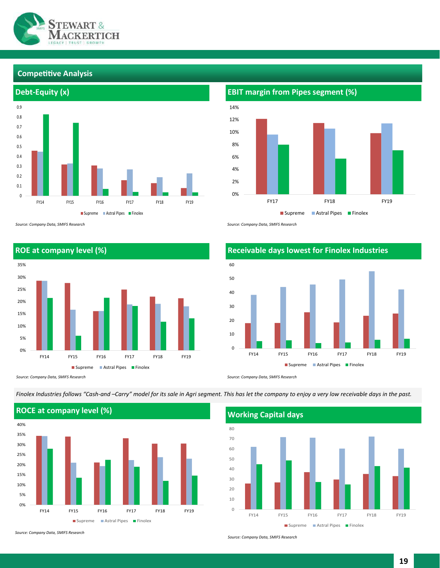

#### **Competitive Analysis**



*Source: Company Data, SMIFS Research*

**ROE at company level (%)** 0% 5% 10% 15% 20% 25% 30% 35% FY14 FY15 FY16 FY17 FY18 FY19 Supreme **Astral Pipes Finolex** 

*Source: Company Data, SMIFS Research*

*Finolex Industries follows "Cash-and –Carry" model for its sale in Agri segment. This has let the company to enjoy a very low receivable days in the past.*



*Source: Company Data, SMIFS Research*

*Source: Company Data, SMIFS Research*



*Source: Company Data, SMIFS Research*



*Source: Company Data, SMIFS Research*



# **Receivable days lowest for Finolex Industries**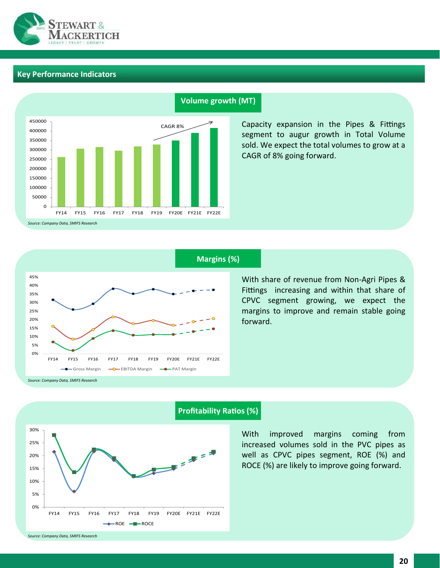

# **Key Performance Indicators**



#### **Volume growth (MT)**

Capacity expansion in the Pipes & Fittings segment to augur growth in Total Volume sold. We expect the total volumes to grow at a CAGR of 8% going forward.



# **Margins (%)**

With share of revenue from Non-Agri Pipes & Fittings increasing and within that share of CPVC segment growing, we expect the margins to improve and remain stable going forward.



# **Profitability Ratios (%)**

With improved margins coming from increased volumes sold in the PVC pipes as well as CPVC pipes segment, ROE (%) and ROCE (%) are likely to improve going forward.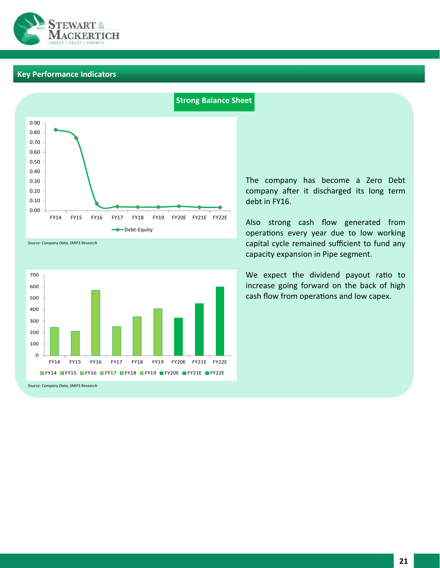

# **Key Performance Indicators**



#### *Source: Company Data, SMIFS Research*



*Source: Company Data, SMIFS Research*

#### **Strong Balance Sheet**

The company has become a Zero Debt company after it discharged its long term debt in FY16.

Also strong cash flow generated from operations every year due to low working capital cycle remained sufficient to fund any capacity expansion in Pipe segment.

We expect the dividend payout ratio to increase going forward on the back of high cash flow from operations and low capex.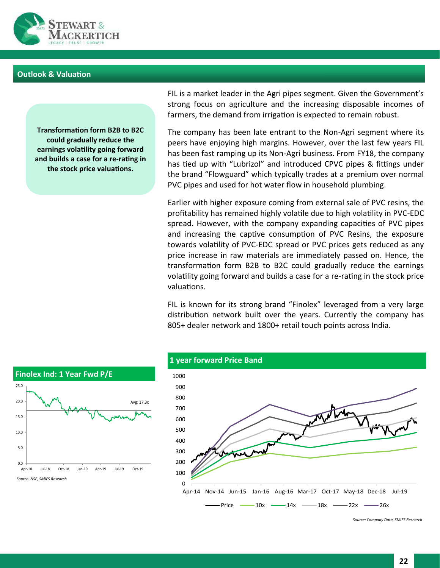

#### **Outlook & Valuation**

**Transformation form B2B to B2C could gradually reduce the earnings volatility going forward and builds a case for a re-rating in the stock price valuations.** 

FIL is a market leader in the Agri pipes segment. Given the Government's strong focus on agriculture and the increasing disposable incomes of farmers, the demand from irrigation is expected to remain robust.

The company has been late entrant to the Non-Agri segment where its peers have enjoying high margins. However, over the last few years FIL has been fast ramping up its Non-Agri business. From FY18, the company has tied up with "Lubrizol" and introduced CPVC pipes & fittings under the brand "Flowguard" which typically trades at a premium over normal PVC pipes and used for hot water flow in household plumbing.

Earlier with higher exposure coming from external sale of PVC resins, the profitability has remained highly volatile due to high volatility in PVC-EDC spread. However, with the company expanding capacities of PVC pipes and increasing the captive consumption of PVC Resins, the exposure towards volatility of PVC-EDC spread or PVC prices gets reduced as any price increase in raw materials are immediately passed on. Hence, the transformation form B2B to B2C could gradually reduce the earnings volatility going forward and builds a case for a re-rating in the stock price valuations.

FIL is known for its strong brand "Finolex" leveraged from a very large distribution network built over the years. Currently the company has 805+ dealer network and 1800+ retail touch points across India.



#### **1 year forward Price Band**

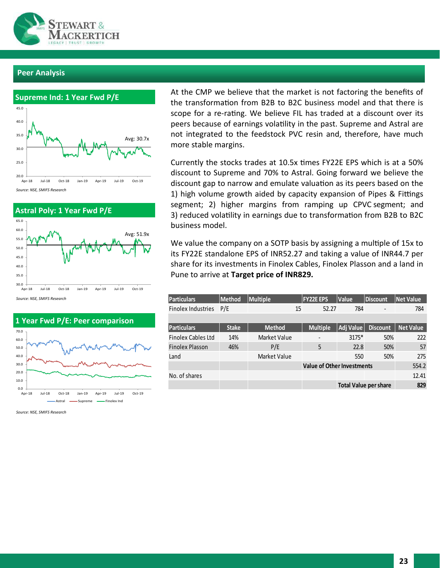

#### **Peer Analysis**





*Source: NSE, SMIFS Research*



*Source: NSE, SMIFS Research*

At the CMP we believe that the market is not factoring the benefits of the transformation from B2B to B2C business model and that there is scope for a re-rating. We believe FIL has traded at a discount over its peers because of earnings volatility in the past. Supreme and Astral are not integrated to the feedstock PVC resin and, therefore, have much more stable margins.

Currently the stocks trades at 10.5x times FY22E EPS which is at a 50% discount to Supreme and 70% to Astral. Going forward we believe the discount gap to narrow and emulate valuation as its peers based on the 1) high volume growth aided by capacity expansion of Pipes & Fittings segment; 2) higher margins from ramping up CPVC segment; and 3) reduced volatility in earnings due to transformation from B2B to B2C business model.

We value the company on a SOTP basis by assigning a multiple of 15x to its FY22E standalone EPS of INR52.27 and taking a value of INR44.7 per share for its investments in Finolex Cables, Finolex Plasson and a land in Pune to arrive at **Target price of INR829.**

| <b>Particulars</b>        | <b>Method</b> | <b>Multiple</b>                   | <b>FY22E EPS</b> | <b>Value</b>                 | <b>Discount</b> | <b>Net Value</b> |
|---------------------------|---------------|-----------------------------------|------------------|------------------------------|-----------------|------------------|
| <b>Finolex Industries</b> | P/E           | 15                                | 52.27            | 784                          |                 | 784              |
|                           |               |                                   |                  |                              |                 |                  |
| <b>Particulars</b>        | <b>Stake</b>  | <b>Method</b>                     | <b>Multiple</b>  | Adj Value                    | <b>Discount</b> | <b>Net Value</b> |
| <b>Finolex Cables Ltd</b> | 14%           | Market Value                      |                  | 3175*                        | 50%             | 222              |
| <b>Finolex Plasson</b>    | 46%           | P/E                               | 5                | 22.8                         | 50%             | 57               |
| Land                      |               | Market Value                      |                  | 550                          | 50%             | 275              |
|                           |               | <b>Value of Other Investments</b> |                  |                              | 554.2           |                  |
| No. of shares             |               |                                   |                  |                              |                 | 12.41            |
|                           |               |                                   |                  | <b>Total Value per share</b> |                 | 829              |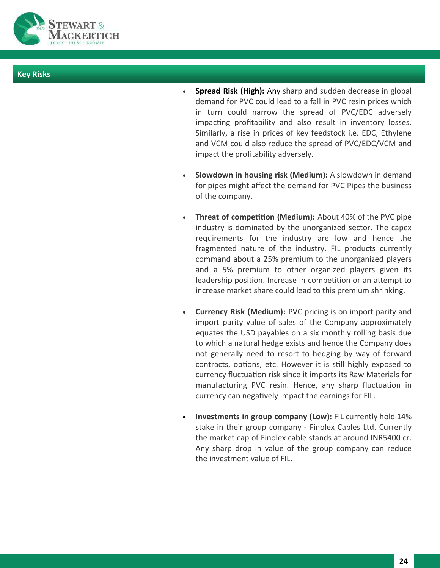

### **Key Risks**

- **Spread Risk (High):** Any sharp and sudden decrease in global demand for PVC could lead to a fall in PVC resin prices which in turn could narrow the spread of PVC/EDC adversely impacting profitability and also result in inventory losses. Similarly, a rise in prices of key feedstock i.e. EDC, Ethylene and VCM could also reduce the spread of PVC/EDC/VCM and impact the profitability adversely.
- **Slowdown in housing risk (Medium):** A slowdown in demand for pipes might affect the demand for PVC Pipes the business of the company.
- **Threat of competition (Medium):** About 40% of the PVC pipe industry is dominated by the unorganized sector. The capex requirements for the industry are low and hence the fragmented nature of the industry. FIL products currently command about a 25% premium to the unorganized players and a 5% premium to other organized players given its leadership position. Increase in competition or an attempt to increase market share could lead to this premium shrinking.
- **Currency Risk (Medium):** PVC pricing is on import parity and import parity value of sales of the Company approximately equates the USD payables on a six monthly rolling basis due to which a natural hedge exists and hence the Company does not generally need to resort to hedging by way of forward contracts, options, etc. However it is still highly exposed to currency fluctuation risk since it imports its Raw Materials for manufacturing PVC resin. Hence, any sharp fluctuation in currency can negatively impact the earnings for FIL.
- **Investments in group company (Low):** FIL currently hold 14% stake in their group company - Finolex Cables Ltd. Currently the market cap of Finolex cable stands at around INR5400 cr. Any sharp drop in value of the group company can reduce the investment value of FIL.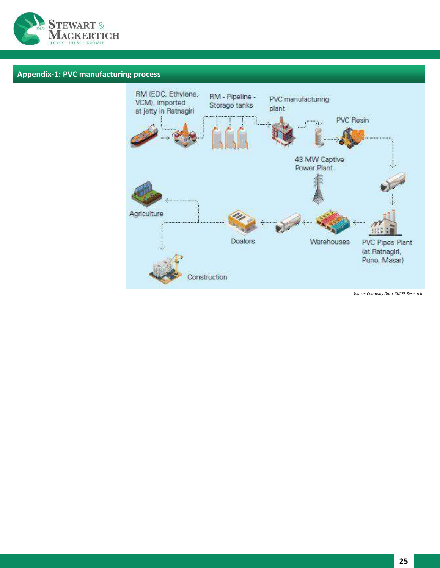

# **Appendix-1: PVC manufacturing process**

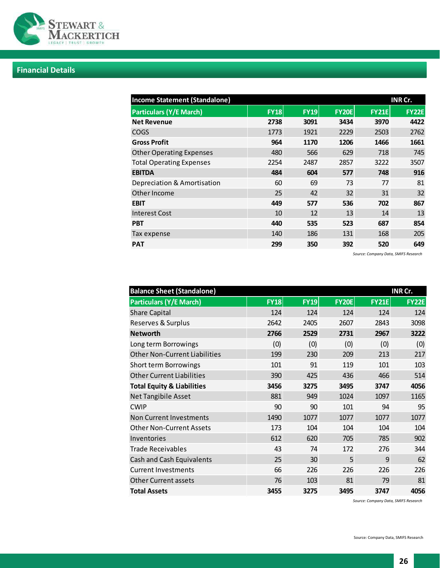

# **Financial Details**

| <b>Income Statement (Standalone)</b><br>INR Cr. |             |             |              |              |              |
|-------------------------------------------------|-------------|-------------|--------------|--------------|--------------|
| <b>Particulars (Y/E March)</b>                  | <b>FY18</b> | <b>FY19</b> | <b>FY20E</b> | <b>FY21E</b> | <b>FY22E</b> |
| <b>Net Revenue</b>                              | 2738        | 3091        | 3434         | 3970         | 4422         |
| <b>COGS</b>                                     | 1773        | 1921        | 2229         | 2503         | 2762         |
| <b>Gross Profit</b>                             | 964         | 1170        | 1206         | 1466         | 1661         |
| <b>Other Operating Expenses</b>                 | 480         | 566         | 629          | 718          | 745          |
| <b>Total Operating Expenses</b>                 | 2254        | 2487        | 2857         | 3222         | 3507         |
| <b>EBITDA</b>                                   | 484         | 604         | 577          | 748          | 916          |
| Depreciation & Amortisation                     | 60          | 69          | 73           | 77           | 81           |
| Other Income                                    | 25          | 42          | 32           | 31           | 32           |
| <b>EBIT</b>                                     | 449         | 577         | 536          | 702          | 867          |
| <b>Interest Cost</b>                            | 10          | 12          | 13           | 14           | 13           |
| <b>PBT</b>                                      | 440         | 535         | 523          | 687          | 854          |
| Tax expense                                     | 140         | 186         | 131          | 168          | 205          |
| <b>PAT</b>                                      | 299         | 350         | 392          | 520          | 649          |

*Source: Company Data, SMIFS Research*

| <b>Balance Sheet (Standalone)</b><br>INR Cr. |             |             |              |              |              |
|----------------------------------------------|-------------|-------------|--------------|--------------|--------------|
| <b>Particulars (Y/E March)</b>               | <b>FY18</b> | <b>FY19</b> | <b>FY20E</b> | <b>FY21E</b> | <b>FY22E</b> |
| <b>Share Capital</b>                         | 124         | 124         | 124          | 124          | 124          |
| Reserves & Surplus                           | 2642        | 2405        | 2607         | 2843         | 3098         |
| <b>Networth</b>                              | 2766        | 2529        | 2731         | 2967         | 3222         |
| Long term Borrowings                         | (0)         | (0)         | (0)          | (0)          | (0)          |
| <b>Other Non-Current Liabilities</b>         | 199         | 230         | 209          | 213          | 217          |
| Short term Borrowings                        | 101         | 91          | 119          | 101          | 103          |
| <b>Other Current Liabilities</b>             | 390         | 425         | 436          | 466          | 514          |
| <b>Total Equity &amp; Liabilities</b>        | 3456        | 3275        | 3495         | 3747         | 4056         |
| Net Tangibile Asset                          | 881         | 949         | 1024         | 1097         | 1165         |
| <b>CWIP</b>                                  | 90          | 90          | 101          | 94           | 95           |
| Non Current Investments                      | 1490        | 1077        | 1077         | 1077         | 1077         |
| <b>Other Non-Current Assets</b>              | 173         | 104         | 104          | 104          | 104          |
| Inventories                                  | 612         | 620         | 705          | 785          | 902          |
| <b>Trade Receivables</b>                     | 43          | 74          | 172          | 276          | 344          |
| Cash and Cash Equivalents                    | 25          | 30          | 5            | 9            | 62           |
| <b>Current Investments</b>                   | 66          | 226         | 226          | 226          | 226          |
| <b>Other Current assets</b>                  | 76          | 103         | 81           | 79           | 81           |
| <b>Total Assets</b>                          | 3455        | 3275        | 3495         | 3747         | 4056         |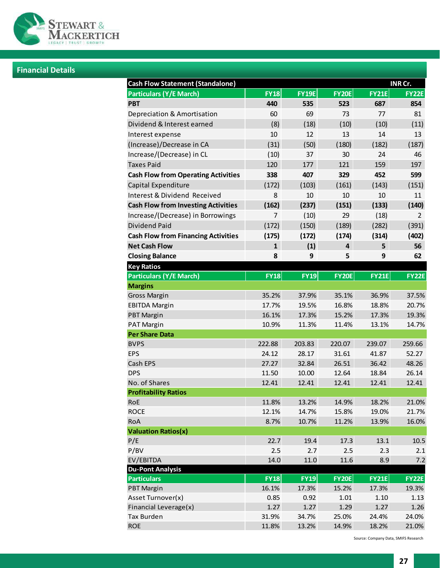

# **Financial Details**

| <b>Cash Flow Statement (Standalone)</b><br>INR Cr. |                |              |                         |              |                |  |
|----------------------------------------------------|----------------|--------------|-------------------------|--------------|----------------|--|
| <b>Particulars (Y/E March)</b>                     | <b>FY18</b>    | <b>FY19E</b> | <b>FY20E</b>            | <b>FY21E</b> | <b>FY22E</b>   |  |
| <b>PBT</b>                                         | 440            | 535          | 523                     | 687          | 854            |  |
| Depreciation & Amortisation                        | 60             | 69           | 73                      | 77           | 81             |  |
| Dividend & Interest earned                         | (8)            | (18)         | (10)                    | (10)         | (11)           |  |
| Interest expense                                   | 10             | 12           | 13                      | 14           | 13             |  |
| (Increase)/Decrease in CA                          | (31)           | (50)         | (180)                   | (182)        | (187)          |  |
| Increase/(Decrease) in CL                          | (10)           | 37           | 30                      | 24           | 46             |  |
| <b>Taxes Paid</b>                                  | 120            | 177          | 121                     | 159          | 197            |  |
| <b>Cash Flow from Operating Activities</b>         | 338            | 407          | 329                     | 452          | 599            |  |
| Capital Expenditure                                | (172)          | (103)        | (161)                   | (143)        | (151)          |  |
| Interest & Dividend Received                       | 8              | 10           | 10                      | 10           | 11             |  |
| <b>Cash Flow from Investing Activities</b>         | (162)          | (237)        | (151)                   | (133)        | (140)          |  |
| Increase/(Decrease) in Borrowings                  | $\overline{7}$ | (10)         | 29                      | (18)         | $\overline{2}$ |  |
| <b>Dividend Paid</b>                               | (172)          | (150)        | (189)                   | (282)        | (391)          |  |
| <b>Cash Flow from Financing Activities</b>         | (175)          | (172)        | (174)                   | (314)        | (402)          |  |
| <b>Net Cash Flow</b>                               | $\mathbf{1}$   | (1)          | $\overline{\mathbf{4}}$ | 5            | 56             |  |
| <b>Closing Balance</b>                             | 8              | 9            | 5                       | 9            | 62             |  |
| <b>Key Ratios</b>                                  |                |              |                         |              |                |  |
| <b>Particulars (Y/E March)</b>                     | <b>FY18</b>    | <b>FY19</b>  | <b>FY20E</b>            | <b>FY21E</b> | <b>FY22E</b>   |  |
| <b>Margins</b>                                     |                |              |                         |              |                |  |
| <b>Gross Margin</b>                                | 35.2%          | 37.9%        | 35.1%                   | 36.9%        | 37.5%          |  |
| <b>EBITDA Margin</b>                               | 17.7%          | 19.5%        | 16.8%                   | 18.8%        | 20.7%          |  |
| <b>PBT Margin</b>                                  | 16.1%          | 17.3%        | 15.2%                   | 17.3%        | 19.3%          |  |
| PAT Margin                                         | 10.9%          | 11.3%        | 11.4%                   | 13.1%        | 14.7%          |  |
| <b>Per Share Data</b>                              |                |              |                         |              |                |  |
| <b>BVPS</b>                                        | 222.88         | 203.83       | 220.07                  | 239.07       | 259.66         |  |
| <b>EPS</b>                                         | 24.12          | 28.17        | 31.61                   | 41.87        | 52.27          |  |
| Cash EPS                                           | 27.27          | 32.84        | 26.51                   | 36.42        | 48.26          |  |
| <b>DPS</b>                                         | 11.50          | 10.00        | 12.64                   | 18.84        | 26.14          |  |
| No. of Shares                                      | 12.41          | 12.41        | 12.41                   | 12.41        | 12.41          |  |
| <b>Profitability Ratios</b>                        |                |              |                         |              |                |  |
| RoE                                                | 11.8%          | 13.2%        | 14.9%                   | 18.2%        | 21.0%          |  |
| <b>ROCE</b>                                        | 12.1%          | 14.7%        | 15.8%                   | 19.0%        | 21.7%          |  |
| RoA                                                | 8.7%           | 10.7%        | 11.2%                   | 13.9%        | 16.0%          |  |
| <b>Valuation Ratios(x)</b><br>P/E                  | 22.7           | 19.4         | 17.3                    | 13.1         | 10.5           |  |
| P/BV                                               | 2.5            | 2.7          | 2.5                     | 2.3          | 2.1            |  |
| EV/EBITDA                                          | 14.0           | 11.0         | 11.6                    | 8.9          | 7.2            |  |
| <b>Du-Pont Analysis</b>                            |                |              |                         |              |                |  |
| <b>Particulars</b>                                 | <b>FY18</b>    | <b>FY19</b>  | <b>FY20E</b>            | <b>FY21E</b> | <b>FY22E</b>   |  |
| <b>PBT Margin</b>                                  | 16.1%          | 17.3%        | 15.2%                   | 17.3%        | 19.3%          |  |
| Asset Turnover(x)                                  | 0.85           | 0.92         | $1.01\,$                | 1.10         | 1.13           |  |
| Financial Leverage(x)                              | 1.27           | 1.27         | 1.29                    | 1.27         | 1.26           |  |
| <b>Tax Burden</b>                                  | 31.9%          | 34.7%        | 25.0%                   | 24.4%        | 24.0%          |  |
| <b>ROE</b>                                         | 11.8%          | 13.2%        | 14.9%                   | 18.2%        | 21.0%          |  |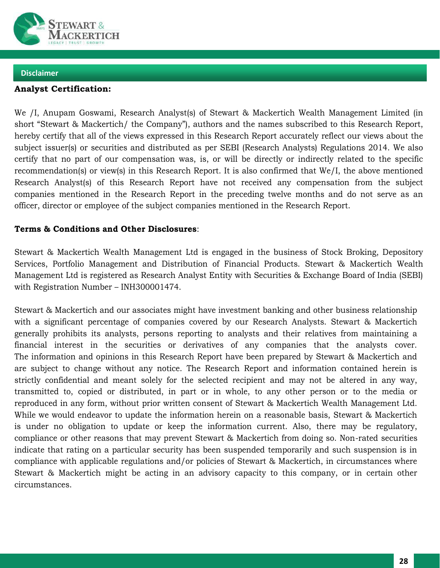

# **Analyst Certification:**

We /I, Anupam Goswami, Research Analyst(s) of Stewart & Mackertich Wealth Management Limited (in short "Stewart & Mackertich/ the Company"), authors and the names subscribed to this Research Report, hereby certify that all of the views expressed in this Research Report accurately reflect our views about the subject issuer(s) or securities and distributed as per SEBI (Research Analysts) Regulations 2014. We also certify that no part of our compensation was, is, or will be directly or indirectly related to the specific recommendation(s) or view(s) in this Research Report. It is also confirmed that We/I, the above mentioned Research Analyst(s) of this Research Report have not received any compensation from the subject companies mentioned in the Research Report in the preceding twelve months and do not serve as an officer, director or employee of the subject companies mentioned in the Research Report.

# **Terms & Conditions and Other Disclosures**:

Stewart & Mackertich Wealth Management Ltd is engaged in the business of Stock Broking, Depository Services, Portfolio Management and Distribution of Financial Products. Stewart & Mackertich Wealth Management Ltd is registered as Research Analyst Entity with Securities & Exchange Board of India (SEBI) with Registration Number – INH300001474.

Stewart & Mackertich and our associates might have investment banking and other business relationship with a significant percentage of companies covered by our Research Analysts. Stewart & Mackertich generally prohibits its analysts, persons reporting to analysts and their relatives from maintaining a financial interest in the securities or derivatives of any companies that the analysts cover. The information and opinions in this Research Report have been prepared by Stewart & Mackertich and are subject to change without any notice. The Research Report and information contained herein is strictly confidential and meant solely for the selected recipient and may not be altered in any way, transmitted to, copied or distributed, in part or in whole, to any other person or to the media or reproduced in any form, without prior written consent of Stewart & Mackertich Wealth Management Ltd. While we would endeavor to update the information herein on a reasonable basis, Stewart & Mackertich is under no obligation to update or keep the information current. Also, there may be regulatory, compliance or other reasons that may prevent Stewart & Mackertich from doing so. Non-rated securities indicate that rating on a particular security has been suspended temporarily and such suspension is in compliance with applicable regulations and/or policies of Stewart & Mackertich, in circumstances where Stewart & Mackertich might be acting in an advisory capacity to this company, or in certain other circumstances.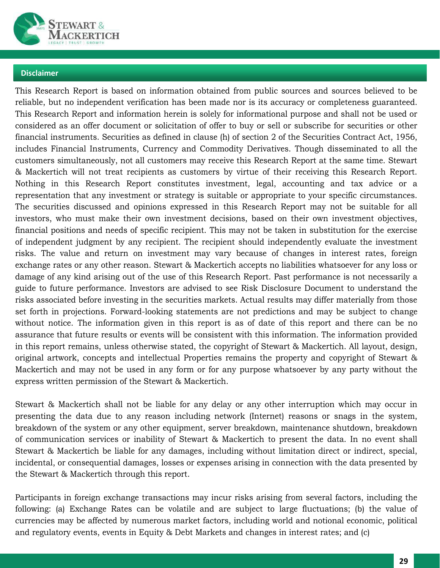

This Research Report is based on information obtained from public sources and sources believed to be reliable, but no independent verification has been made nor is its accuracy or completeness guaranteed. This Research Report and information herein is solely for informational purpose and shall not be used or considered as an offer document or solicitation of offer to buy or sell or subscribe for securities or other financial instruments. Securities as defined in clause (h) of section 2 of the Securities Contract Act, 1956, includes Financial Instruments, Currency and Commodity Derivatives. Though disseminated to all the customers simultaneously, not all customers may receive this Research Report at the same time. Stewart & Mackertich will not treat recipients as customers by virtue of their receiving this Research Report. Nothing in this Research Report constitutes investment, legal, accounting and tax advice or a representation that any investment or strategy is suitable or appropriate to your specific circumstances. The securities discussed and opinions expressed in this Research Report may not be suitable for all investors, who must make their own investment decisions, based on their own investment objectives, financial positions and needs of specific recipient. This may not be taken in substitution for the exercise of independent judgment by any recipient. The recipient should independently evaluate the investment risks. The value and return on investment may vary because of changes in interest rates, foreign exchange rates or any other reason. Stewart & Mackertich accepts no liabilities whatsoever for any loss or damage of any kind arising out of the use of this Research Report. Past performance is not necessarily a guide to future performance. Investors are advised to see Risk Disclosure Document to understand the risks associated before investing in the securities markets. Actual results may differ materially from those set forth in projections. Forward-looking statements are not predictions and may be subject to change without notice. The information given in this report is as of date of this report and there can be no assurance that future results or events will be consistent with this information. The information provided in this report remains, unless otherwise stated, the copyright of Stewart & Mackertich. All layout, design, original artwork, concepts and intellectual Properties remains the property and copyright of Stewart & Mackertich and may not be used in any form or for any purpose whatsoever by any party without the express written permission of the Stewart & Mackertich.

Stewart & Mackertich shall not be liable for any delay or any other interruption which may occur in presenting the data due to any reason including network (Internet) reasons or snags in the system, breakdown of the system or any other equipment, server breakdown, maintenance shutdown, breakdown of communication services or inability of Stewart & Mackertich to present the data. In no event shall Stewart & Mackertich be liable for any damages, including without limitation direct or indirect, special, incidental, or consequential damages, losses or expenses arising in connection with the data presented by the Stewart & Mackertich through this report.

Participants in foreign exchange transactions may incur risks arising from several factors, including the following: (a) Exchange Rates can be volatile and are subject to large fluctuations; (b) the value of currencies may be affected by numerous market factors, including world and notional economic, political and regulatory events, events in Equity & Debt Markets and changes in interest rates; and (c)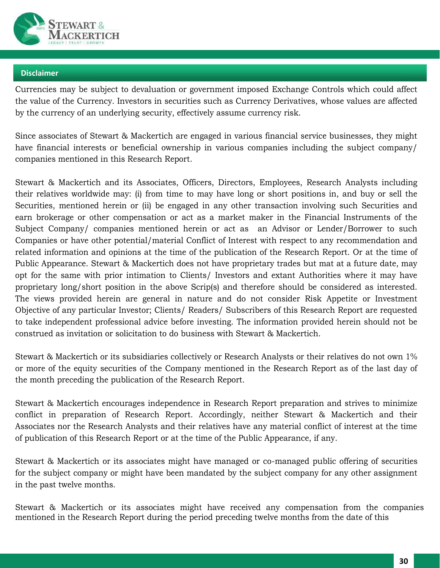

Currencies may be subject to devaluation or government imposed Exchange Controls which could affect the value of the Currency. Investors in securities such as Currency Derivatives, whose values are affected by the currency of an underlying security, effectively assume currency risk.

Since associates of Stewart & Mackertich are engaged in various financial service businesses, they might have financial interests or beneficial ownership in various companies including the subject company/ companies mentioned in this Research Report.

Stewart & Mackertich and its Associates, Officers, Directors, Employees, Research Analysts including their relatives worldwide may: (i) from time to may have long or short positions in, and buy or sell the Securities, mentioned herein or (ii) be engaged in any other transaction involving such Securities and earn brokerage or other compensation or act as a market maker in the Financial Instruments of the Subject Company/ companies mentioned herein or act as an Advisor or Lender/Borrower to such Companies or have other potential/material Conflict of Interest with respect to any recommendation and related information and opinions at the time of the publication of the Research Report. Or at the time of Public Appearance. Stewart & Mackertich does not have proprietary trades but mat at a future date, may opt for the same with prior intimation to Clients/ Investors and extant Authorities where it may have proprietary long/short position in the above Scrip(s) and therefore should be considered as interested. The views provided herein are general in nature and do not consider Risk Appetite or Investment Objective of any particular Investor; Clients/ Readers/ Subscribers of this Research Report are requested to take independent professional advice before investing. The information provided herein should not be construed as invitation or solicitation to do business with Stewart & Mackertich.

Stewart & Mackertich or its subsidiaries collectively or Research Analysts or their relatives do not own 1% or more of the equity securities of the Company mentioned in the Research Report as of the last day of the month preceding the publication of the Research Report.

Stewart & Mackertich encourages independence in Research Report preparation and strives to minimize conflict in preparation of Research Report. Accordingly, neither Stewart & Mackertich and their Associates nor the Research Analysts and their relatives have any material conflict of interest at the time of publication of this Research Report or at the time of the Public Appearance, if any.

Stewart & Mackertich or its associates might have managed or co-managed public offering of securities for the subject company or might have been mandated by the subject company for any other assignment in the past twelve months.

Stewart & Mackertich or its associates might have received any compensation from the companies mentioned in the Research Report during the period preceding twelve months from the date of this